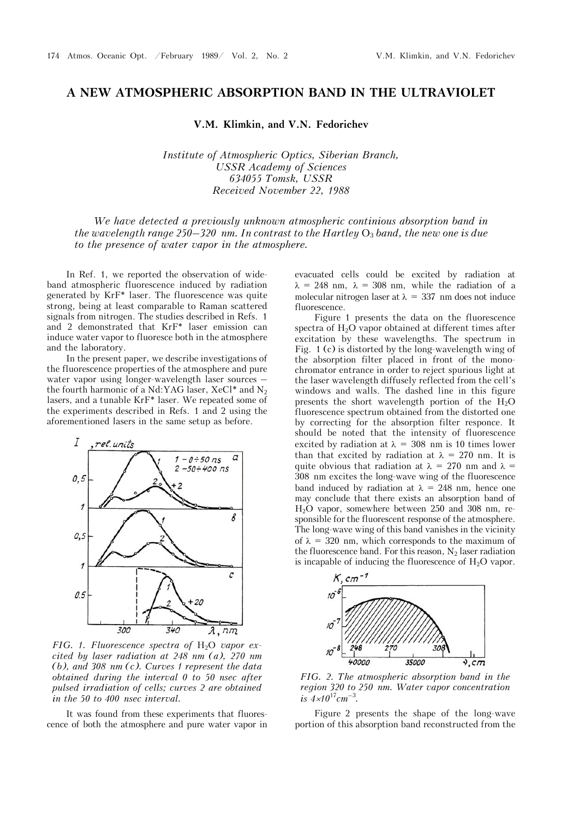## **A NEW ATMOSPHERIC ABSORPTION BAND IN THE ULTRAVIOLET**

**V.M. Klimkin, and V.N. Fedorichev** 

*Institute of Atmospheric Optics, Siberian Branch, USSR Academy of Sciences 634055 Tomsk, USSR Received November 22, 1988* 

*We have detected a previously unknown atmospheric continious absorption band in the wavelength range 250–320 nm. In contrast to the Hartley*  $O_3$  *band, the new one is due to the presence of water vapor in the atmosphere.* 

In Ref. 1, we reported the observation of wideband atmospheric fluorescence induced by radiation generated by KrF\* laser. The fluorescence was quite strong, being at least comparable to Raman scattered signals from nitrogen. The studies described in Refs. 1 and 2 demonstrated that KrF\* laser emission can induce water vapor to fluoresce both in the atmosphere and the laboratory.

In the present paper, we describe investigations of the fluorescence properties of the atmosphere and pure water vapor using longer-wavelength laser sources – the fourth harmonic of a Nd:YAG laser,  $XeCl^*$  and  $N_2$ lasers, and a tunable KrF\* laser. We repeated some of the experiments described in Refs. 1 and 2 using the aforementioned lasers in the same setup as before.



*FIG.* 1. Fluorescence spectra of H<sub>2</sub>O vapor ex*cited by laser radiation at 248 nm (a), 270 nm (b), and 308 nm (c). Curves 1 represent the data obtained during the interval 0 to 50 nsec after pulsed irradiation of cells; curves 2 are obtained in the 50 to 400 nsec interval.*

It was found from these experiments that fluorescence of both the atmosphere and pure water vapor in

evacuated cells could be excited by radiation at  $\lambda = 248$  nm,  $\lambda = 308$  nm, while the radiation of a molecular nitrogen laser at  $\lambda = 337$  nm does not induce fluorescence.

Figure 1 presents the data on the fluorescence spectra of  $H_2O$  vapor obtained at different times after excitation by these wavelengths. The spectrum in Fig. 1 (c) is distorted by the long-wavelength wing of the absorption filter placed in front of the monochromator entrance in order to reject spurious light at the laser wavelength diffusely reflected from the cell's windows and walls. The dashed line in this figure presents the short wavelength portion of the  $H_2O$ fluorescence spectrum obtained from the distorted one by correcting for the absorption filter responce. It should be noted that the intensity of fluorescence excited by radiation at  $\lambda = 308$  nm is 10 times lower than that excited by radiation at  $\lambda = 270$  nm. It is quite obvious that radiation at  $\lambda = 270$  nm and  $\lambda =$ 308 nm excites the long-wave wing of the fluorescence band induced by radiation at  $\lambda = 248$  nm, hence one may conclude that there exists an absorption band of H2O vapor, somewhere between 250 and 308 nm, responsible for the fluorescent response of the atmosphere. The long-wave wing of this band vanishes in the vicinity of  $\lambda = 320$  nm, which corresponds to the maximum of the fluorescence band. For this reason,  $N_2$  laser radiation is incapable of inducing the fluorescence of  $H_2O$  vapor.



*FIG. 2. The atmospheric absorption band in the region 320 to 250 nm. Water vapor concentration*   $i\bar{s}$  4*×10*<sup>17</sup>*cm*<sup>-3</sup>.

Figure 2 presents the shape of the long-wave portion of this absorption band reconstructed from the